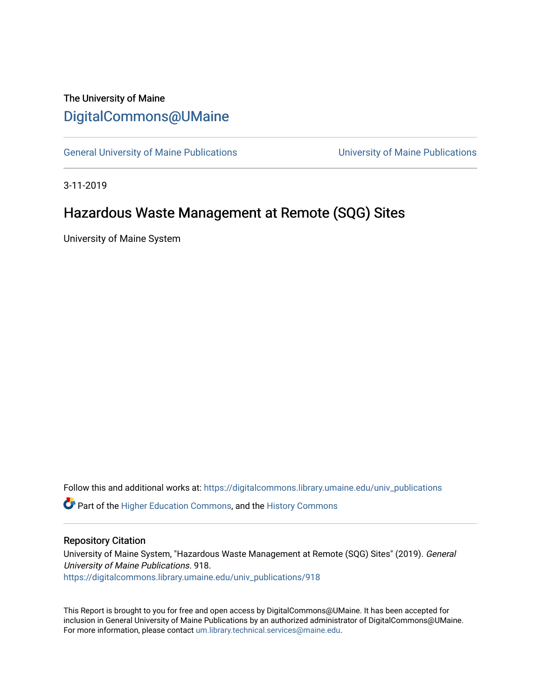## The University of Maine [DigitalCommons@UMaine](https://digitalcommons.library.umaine.edu/)

[General University of Maine Publications](https://digitalcommons.library.umaine.edu/univ_publications) [University of Maine Publications](https://digitalcommons.library.umaine.edu/umaine_publications) 

3-11-2019

# Hazardous Waste Management at Remote (SQG) Sites

University of Maine System

Follow this and additional works at: [https://digitalcommons.library.umaine.edu/univ\\_publications](https://digitalcommons.library.umaine.edu/univ_publications?utm_source=digitalcommons.library.umaine.edu%2Funiv_publications%2F918&utm_medium=PDF&utm_campaign=PDFCoverPages) 

**C** Part of the [Higher Education Commons,](http://network.bepress.com/hgg/discipline/1245?utm_source=digitalcommons.library.umaine.edu%2Funiv_publications%2F918&utm_medium=PDF&utm_campaign=PDFCoverPages) and the [History Commons](http://network.bepress.com/hgg/discipline/489?utm_source=digitalcommons.library.umaine.edu%2Funiv_publications%2F918&utm_medium=PDF&utm_campaign=PDFCoverPages)

#### Repository Citation

University of Maine System, "Hazardous Waste Management at Remote (SQG) Sites" (2019). General University of Maine Publications. 918. [https://digitalcommons.library.umaine.edu/univ\\_publications/918](https://digitalcommons.library.umaine.edu/univ_publications/918?utm_source=digitalcommons.library.umaine.edu%2Funiv_publications%2F918&utm_medium=PDF&utm_campaign=PDFCoverPages) 

This Report is brought to you for free and open access by DigitalCommons@UMaine. It has been accepted for inclusion in General University of Maine Publications by an authorized administrator of DigitalCommons@UMaine. For more information, please contact [um.library.technical.services@maine.edu](mailto:um.library.technical.services@maine.edu).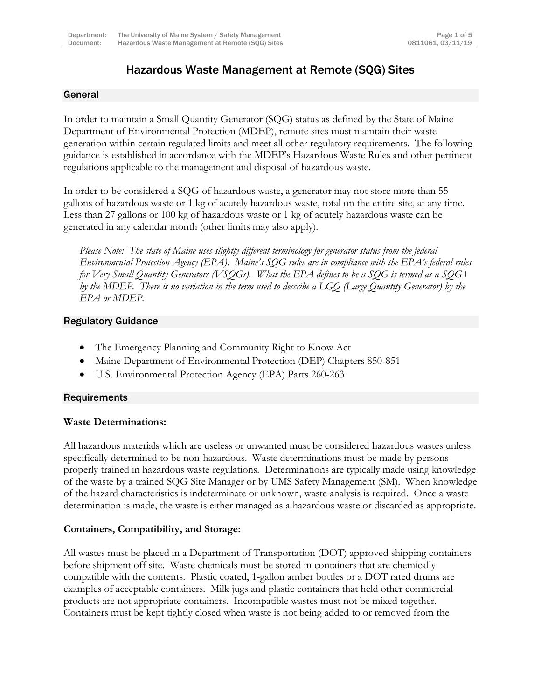## Hazardous Waste Management at Remote (SQG) Sites

## General

In order to maintain a Small Quantity Generator (SQG) status as defined by the State of Maine Department of Environmental Protection (MDEP), remote sites must maintain their waste generation within certain regulated limits and meet all other regulatory requirements. The following guidance is established in accordance with the MDEP's Hazardous Waste Rules and other pertinent regulations applicable to the management and disposal of hazardous waste.

In order to be considered a SQG of hazardous waste, a generator may not store more than 55 gallons of hazardous waste or 1 kg of acutely hazardous waste, total on the entire site, at any time. Less than 27 gallons or 100 kg of hazardous waste or 1 kg of acutely hazardous waste can be generated in any calendar month (other limits may also apply).

*Please Note: The state of Maine uses slightly different terminology for generator status from the federal Environmental Protection Agency (EPA). Maine's SQG rules are in compliance with the EPA's federal rules for Very Small Quantity Generators (VSQGs). What the EPA defines to be a SQG is termed as a SQG+ by the MDEP. There is no variation in the term used to describe a LGQ (Large Quantity Generator) by the EPA or MDEP.*

### Regulatory Guidance

- The Emergency Planning and Community Right to Know Act
- Maine Department of Environmental Protection (DEP) Chapters 850-851
- U.S. Environmental Protection Agency (EPA) Parts 260-263

## **Requirements**

#### **Waste Determinations:**

All hazardous materials which are useless or unwanted must be considered hazardous wastes unless specifically determined to be non-hazardous. Waste determinations must be made by persons properly trained in hazardous waste regulations. Determinations are typically made using knowledge of the waste by a trained SQG Site Manager or by UMS Safety Management (SM). When knowledge of the hazard characteristics is indeterminate or unknown, waste analysis is required. Once a waste determination is made, the waste is either managed as a hazardous waste or discarded as appropriate.

## **Containers, Compatibility, and Storage:**

All wastes must be placed in a Department of Transportation (DOT) approved shipping containers before shipment off site. Waste chemicals must be stored in containers that are chemically compatible with the contents. Plastic coated, 1-gallon amber bottles or a DOT rated drums are examples of acceptable containers. Milk jugs and plastic containers that held other commercial products are not appropriate containers. Incompatible wastes must not be mixed together*.*  Containers must be kept tightly closed when waste is not being added to or removed from the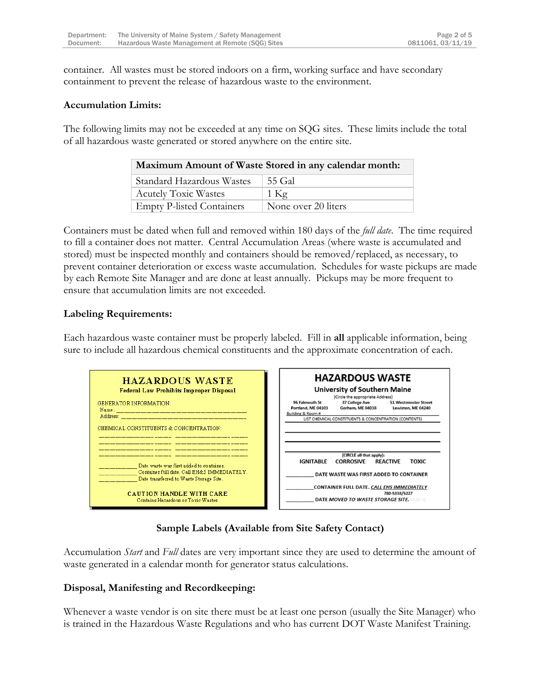container. All wastes must be stored indoors on a firm, working surface and have secondary containment to prevent the release of hazardous waste to the environment.

#### **Accumulation Limits:**

The following limits may not be exceeded at any time on SQG sites. These limits include the total of all hazardous waste generated or stored anywhere on the entire site.

| Maximum Amount of Waste Stored in any calendar month: |                     |
|-------------------------------------------------------|---------------------|
| Standard Hazardous Wastes                             | 55 Gal              |
| <b>Acutely Toxic Wastes</b>                           | $1$ Kg              |
| <b>Empty P-listed Containers</b>                      | None over 20 liters |

Containers must be dated when full and removed within 180 days of the *full date*. The time required to fill a container does not matter. Central Accumulation Areas (where waste is accumulated and stored) must be inspected monthly and containers should be removed/replaced, as necessary, to prevent container deterioration or excess waste accumulation. Schedules for waste pickups are made by each Remote Site Manager and are done at least annually. Pickups may be more frequent to ensure that accumulation limits are not exceeded.

#### **Labeling Requirements:**

Each hazardous waste container must be properly labeled. Fill in **all** applicable information, being sure to include all hazardous chemical constituents and the approximate concentration of each.



## **Sample Labels (Available from Site Safety Contact)**

Accumulation *Start* and *Full* dates are very important since they are used to determine the amount of waste generated in a calendar month for generator status calculations.

#### **Disposal, Manifesting and Recordkeeping:**

Whenever a waste vendor is on site there must be at least one person (usually the Site Manager) who is trained in the Hazardous Waste Regulations and who has current DOT Waste Manifest Training.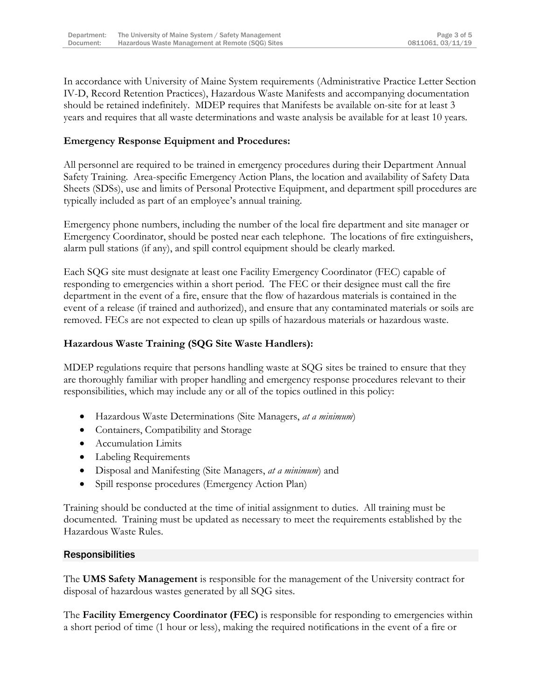In accordance with University of Maine System requirements (Administrative Practice Letter Section IV-D, Record Retention Practices), Hazardous Waste Manifests and accompanying documentation should be retained indefinitely. MDEP requires that Manifests be available on-site for at least 3 years and requires that all waste determinations and waste analysis be available for at least 10 years.

## **Emergency Response Equipment and Procedures:**

All personnel are required to be trained in emergency procedures during their Department Annual Safety Training. Area-specific Emergency Action Plans, the location and availability of Safety Data Sheets (SDSs), use and limits of Personal Protective Equipment, and department spill procedures are typically included as part of an employee's annual training.

Emergency phone numbers, including the number of the local fire department and site manager or Emergency Coordinator, should be posted near each telephone. The locations of fire extinguishers, alarm pull stations (if any), and spill control equipment should be clearly marked.

Each SQG site must designate at least one Facility Emergency Coordinator (FEC) capable of responding to emergencies within a short period. The FEC or their designee must call the fire department in the event of a fire, ensure that the flow of hazardous materials is contained in the event of a release (if trained and authorized), and ensure that any contaminated materials or soils are removed. FECs are not expected to clean up spills of hazardous materials or hazardous waste.

#### **Hazardous Waste Training (SQG Site Waste Handlers):**

MDEP regulations require that persons handling waste at SQG sites be trained to ensure that they are thoroughly familiar with proper handling and emergency response procedures relevant to their responsibilities, which may include any or all of the topics outlined in this policy:

- Hazardous Waste Determinations (Site Managers, *at a minimum*)
- Containers, Compatibility and Storage
- Accumulation Limits
- Labeling Requirements
- Disposal and Manifesting (Site Managers, *at a minimum*) and
- Spill response procedures (Emergency Action Plan)

Training should be conducted at the time of initial assignment to duties. All training must be documented. Training must be updated as necessary to meet the requirements established by the Hazardous Waste Rules.

#### **Responsibilities**

The **UMS Safety Management** is responsible for the management of the University contract for disposal of hazardous wastes generated by all SQG sites.

The **Facility Emergency Coordinator (FEC)** is responsible for responding to emergencies within a short period of time (1 hour or less), making the required notifications in the event of a fire or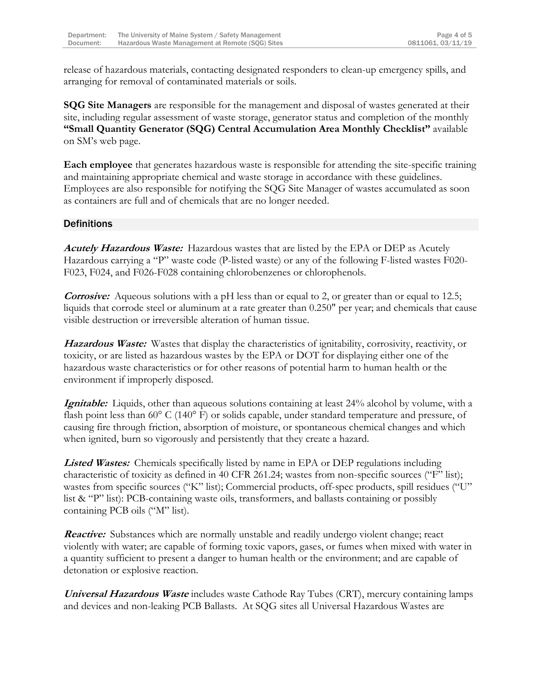release of hazardous materials, contacting designated responders to clean-up emergency spills, and arranging for removal of contaminated materials or soils.

**SQG Site Managers** are responsible for the management and disposal of wastes generated at their site, including regular assessment of waste storage, generator status and completion of the monthly **"Small Quantity Generator (SQG) Central Accumulation Area Monthly Checklist"** available on SM's web page.

**Each employee** that generates hazardous waste is responsible for attending the site-specific training and maintaining appropriate chemical and waste storage in accordance with these guidelines. Employees are also responsible for notifying the SQG Site Manager of wastes accumulated as soon as containers are full and of chemicals that are no longer needed.

### **Definitions**

**Acutely Hazardous Waste:** Hazardous wastes that are listed by the EPA or DEP as Acutely Hazardous carrying a "P" waste code (P-listed waste) or any of the following F-listed wastes F020- F023, F024, and F026-F028 containing chlorobenzenes or chlorophenols.

**Corrosive:** Aqueous solutions with a pH less than or equal to 2, or greater than or equal to 12.5; liquids that corrode steel or aluminum at a rate greater than 0.250" per year; and chemicals that cause visible destruction or irreversible alteration of human tissue.

**Hazardous Waste:** Wastes that display the characteristics of ignitability, corrosivity, reactivity, or toxicity, or are listed as hazardous wastes by the EPA or DOT for displaying either one of the hazardous waste characteristics or for other reasons of potential harm to human health or the environment if improperly disposed.

**Ignitable:** Liquids, other than aqueous solutions containing at least 24% alcohol by volume, with a flash point less than 60° C (140° F) or solids capable, under standard temperature and pressure, of causing fire through friction, absorption of moisture, or spontaneous chemical changes and which when ignited, burn so vigorously and persistently that they create a hazard.

**Listed Wastes:** Chemicals specifically listed by name in EPA or DEP regulations including characteristic of toxicity as defined in 40 CFR 261.24; wastes from non-specific sources ("F" list); wastes from specific sources ("K" list); Commercial products, off-spec products, spill residues ("U" list & "P" list): PCB-containing waste oils, transformers, and ballasts containing or possibly containing PCB oils ("M" list).

**Reactive:** Substances which are normally unstable and readily undergo violent change; react violently with water; are capable of forming toxic vapors, gases, or fumes when mixed with water in a quantity sufficient to present a danger to human health or the environment; and are capable of detonation or explosive reaction.

**Universal Hazardous Waste** includes waste Cathode Ray Tubes (CRT), mercury containing lamps and devices and non-leaking PCB Ballasts. At SQG sites all Universal Hazardous Wastes are